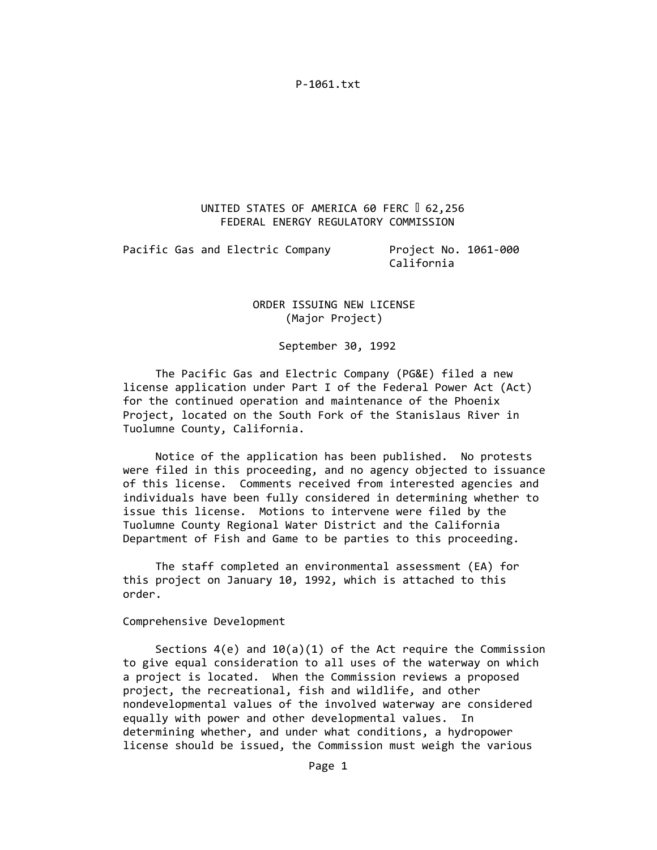# UNITED STATES OF AMERICA 60 FERC 1 62,256 FEDERAL ENERGY REGULATORY COMMISSION

Pacific Gas and Electric Company **Broject No. 1061**-000

California

# ORDER ISSUING NEW LICENSE (Major Project)

September 30, 1992

 The Pacific Gas and Electric Company (PG&E) filed a new license application under Part I of the Federal Power Act (Act) for the continued operation and maintenance of the Phoenix Project, located on the South Fork of the Stanislaus River in Tuolumne County, California.

 Notice of the application has been published. No protests were filed in this proceeding, and no agency objected to issuance of this license. Comments received from interested agencies and individuals have been fully considered in determining whether to issue this license. Motions to intervene were filed by the Tuolumne County Regional Water District and the California Department of Fish and Game to be parties to this proceeding.

 The staff completed an environmental assessment (EA) for this project on January 10, 1992, which is attached to this order.

Comprehensive Development

Sections  $4(e)$  and  $10(a)(1)$  of the Act require the Commission to give equal consideration to all uses of the waterway on which a project is located. When the Commission reviews a proposed project, the recreational, fish and wildlife, and other nondevelopmental values of the involved waterway are considered equally with power and other developmental values. In determining whether, and under what conditions, a hydropower license should be issued, the Commission must weigh the various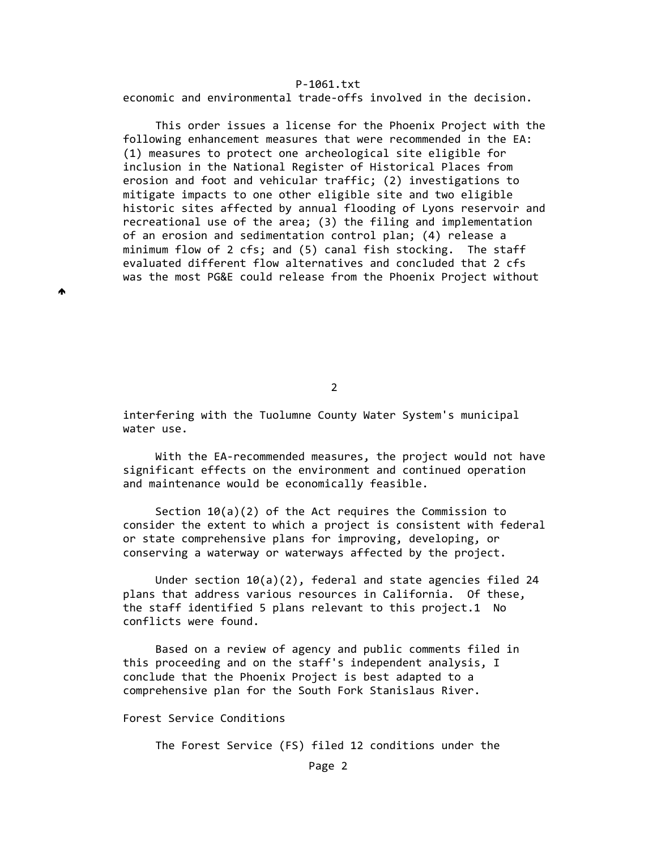economic and environmental trade‐offs involved in the decision.

 This order issues a license for the Phoenix Project with the following enhancement measures that were recommended in the EA: (1) measures to protect one archeological site eligible for inclusion in the National Register of Historical Places from erosion and foot and vehicular traffic; (2) investigations to mitigate impacts to one other eligible site and two eligible historic sites affected by annual flooding of Lyons reservoir and recreational use of the area; (3) the filing and implementation of an erosion and sedimentation control plan; (4) release a minimum flow of 2 cfs; and (5) canal fish stocking. The staff evaluated different flow alternatives and concluded that 2 cfs was the most PG&E could release from the Phoenix Project without

2

 interfering with the Tuolumne County Water System's municipal water use.

 With the EA‐recommended measures, the project would not have significant effects on the environment and continued operation and maintenance would be economically feasible.

 Section 10(a)(2) of the Act requires the Commission to consider the extent to which a project is consistent with federal or state comprehensive plans for improving, developing, or conserving a waterway or waterways affected by the project.

 Under section 10(a)(2), federal and state agencies filed 24 plans that address various resources in California. Of these, the staff identified 5 plans relevant to this project.1 No conflicts were found.

 Based on a review of agency and public comments filed in this proceeding and on the staff's independent analysis, I conclude that the Phoenix Project is best adapted to a comprehensive plan for the South Fork Stanislaus River.

Forest Service Conditions

₳

The Forest Service (FS) filed 12 conditions under the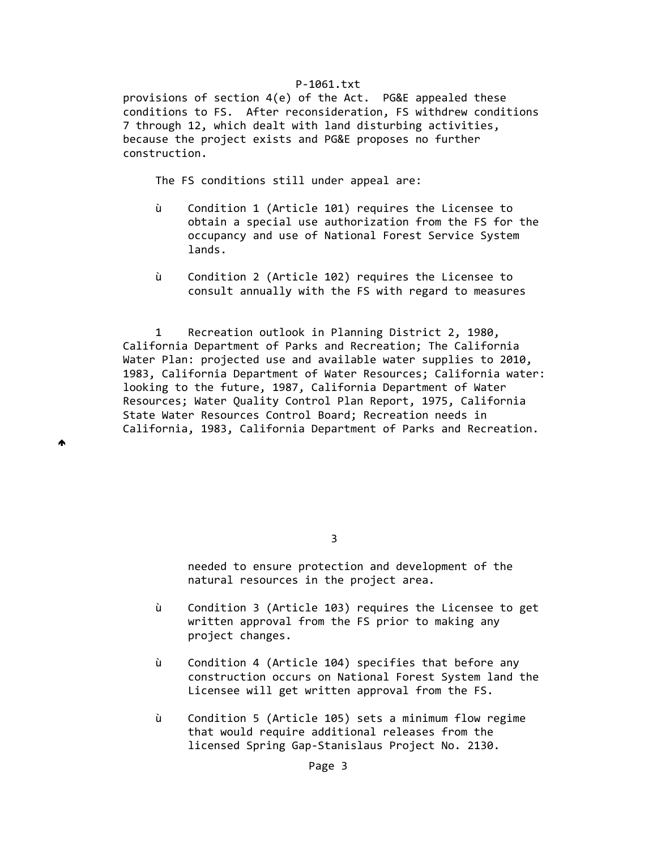provisions of section 4(e) of the Act. PG&E appealed these conditions to FS. After reconsideration, FS withdrew conditions 7 through 12, which dealt with land disturbing activities, because the project exists and PG&E proposes no further construction.

The FS conditions still under appeal are:

₳

- ù Condition 1 (Article 101) requires the Licensee to obtain a special use authorization from the FS for the occupancy and use of National Forest Service System lands.
- ù Condition 2 (Article 102) requires the Licensee to consult annually with the FS with regard to measures

 1 Recreation outlook in Planning District 2, 1980, California Department of Parks and Recreation; The California Water Plan: projected use and available water supplies to 2010, 1983, California Department of Water Resources; California water: looking to the future, 1987, California Department of Water Resources; Water Quality Control Plan Report, 1975, California State Water Resources Control Board; Recreation needs in California, 1983, California Department of Parks and Recreation.

 needed to ensure protection and development of the natural resources in the project area.

- ù Condition 3 (Article 103) requires the Licensee to get written approval from the FS prior to making any project changes.
- ù Condition 4 (Article 104) specifies that before any construction occurs on National Forest System land the Licensee will get written approval from the FS.
- ù Condition 5 (Article 105) sets a minimum flow regime that would require additional releases from the licensed Spring Gap‐Stanislaus Project No. 2130.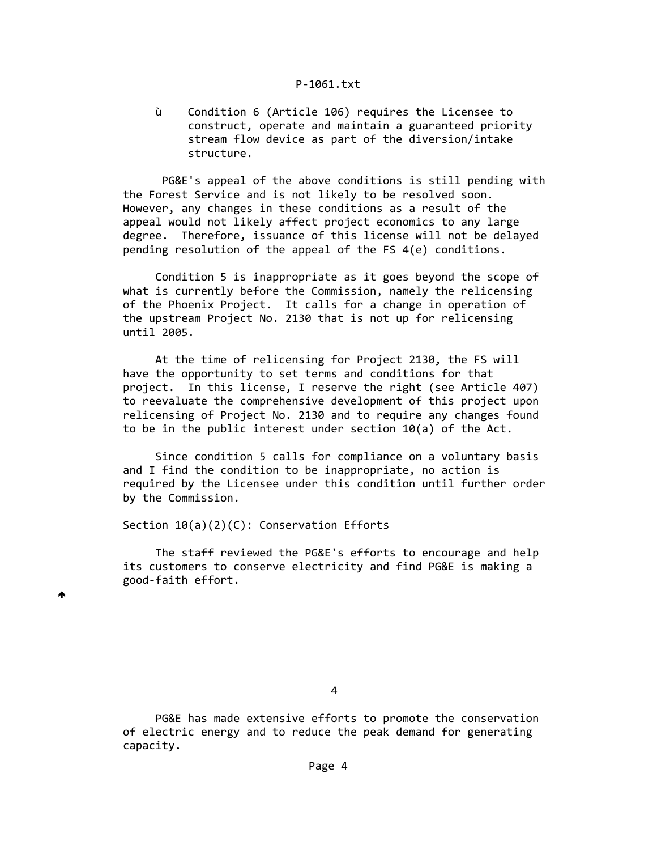ù Condition 6 (Article 106) requires the Licensee to construct, operate and maintain a guaranteed priority stream flow device as part of the diversion/intake structure.

 PG&E's appeal of the above conditions is still pending with the Forest Service and is not likely to be resolved soon. However, any changes in these conditions as a result of the appeal would not likely affect project economics to any large degree. Therefore, issuance of this license will not be delayed pending resolution of the appeal of the FS 4(e) conditions.

 Condition 5 is inappropriate as it goes beyond the scope of what is currently before the Commission, namely the relicensing of the Phoenix Project. It calls for a change in operation of the upstream Project No. 2130 that is not up for relicensing until 2005.

 At the time of relicensing for Project 2130, the FS will have the opportunity to set terms and conditions for that project. In this license, I reserve the right (see Article 407) to reevaluate the comprehensive development of this project upon relicensing of Project No. 2130 and to require any changes found to be in the public interest under section 10(a) of the Act.

 Since condition 5 calls for compliance on a voluntary basis and I find the condition to be inappropriate, no action is required by the Licensee under this condition until further order by the Commission.

Section 10(a)(2)(C): Conservation Efforts

 The staff reviewed the PG&E's efforts to encourage and help its customers to conserve electricity and find PG&E is making a good‐faith effort.

♠

 PG&E has made extensive efforts to promote the conservation of electric energy and to reduce the peak demand for generating capacity.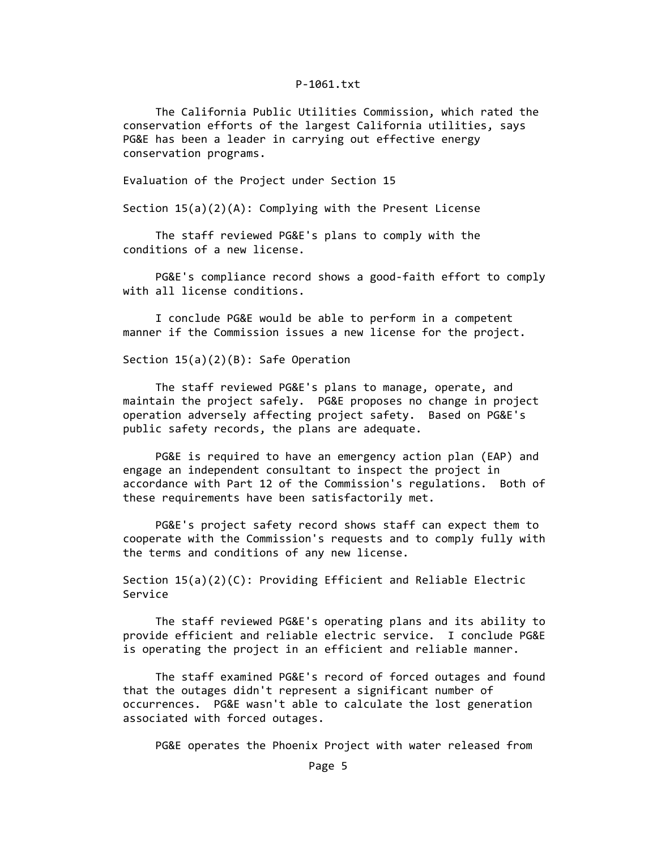The California Public Utilities Commission, which rated the conservation efforts of the largest California utilities, says PG&E has been a leader in carrying out effective energy conservation programs.

Evaluation of the Project under Section 15

Section 15(a)(2)(A): Complying with the Present License

 The staff reviewed PG&E's plans to comply with the conditions of a new license.

PG&E's compliance record shows a good-faith effort to comply with all license conditions.

 I conclude PG&E would be able to perform in a competent manner if the Commission issues a new license for the project.

Section 15(a)(2)(B): Safe Operation

 The staff reviewed PG&E's plans to manage, operate, and maintain the project safely. PG&E proposes no change in project operation adversely affecting project safety. Based on PG&E's public safety records, the plans are adequate.

 PG&E is required to have an emergency action plan (EAP) and engage an independent consultant to inspect the project in accordance with Part 12 of the Commission's regulations. Both of these requirements have been satisfactorily met.

 PG&E's project safety record shows staff can expect them to cooperate with the Commission's requests and to comply fully with the terms and conditions of any new license.

 Section 15(a)(2)(C): Providing Efficient and Reliable Electric Service

 The staff reviewed PG&E's operating plans and its ability to provide efficient and reliable electric service. I conclude PG&E is operating the project in an efficient and reliable manner.

 The staff examined PG&E's record of forced outages and found that the outages didn't represent a significant number of occurrences. PG&E wasn't able to calculate the lost generation associated with forced outages.

PG&E operates the Phoenix Project with water released from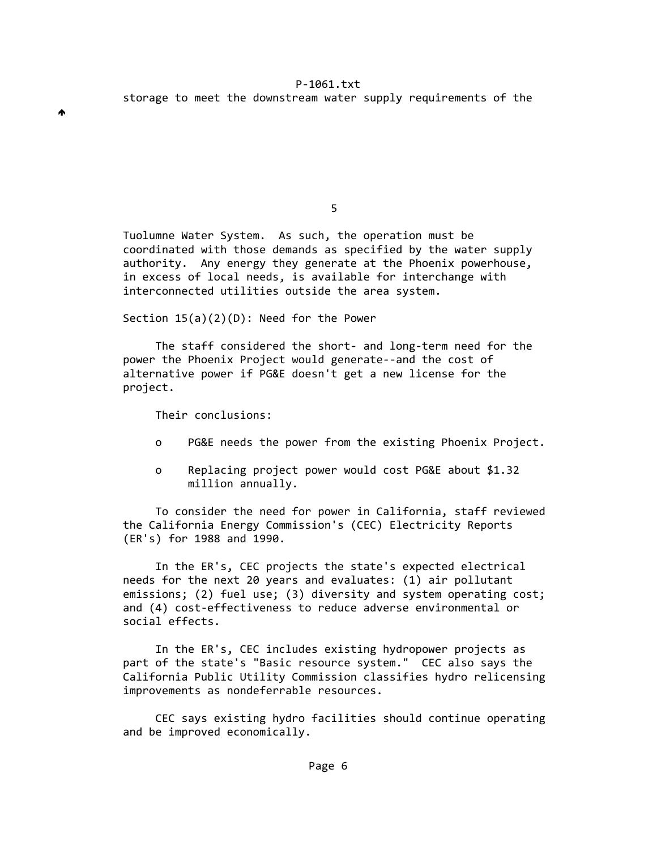the contract of the contract of the contract of the contract of the contract of the contract of the contract o

 Tuolumne Water System. As such, the operation must be coordinated with those demands as specified by the water supply authority. Any energy they generate at the Phoenix powerhouse, in excess of local needs, is available for interchange with interconnected utilities outside the area system.

Section 15(a)(2)(D): Need for the Power

 The staff considered the short‐ and long‐term need for the power the Phoenix Project would generate‐‐and the cost of alternative power if PG&E doesn't get a new license for the project.

Their conclusions:

- o PG&E needs the power from the existing Phoenix Project.
- o Replacing project power would cost PG&E about \$1.32 million annually.

 To consider the need for power in California, staff reviewed the California Energy Commission's (CEC) Electricity Reports (ER's) for 1988 and 1990.

 In the ER's, CEC projects the state's expected electrical needs for the next 20 years and evaluates: (1) air pollutant emissions; (2) fuel use; (3) diversity and system operating cost; and (4) cost-effectiveness to reduce adverse environmental or social effects.

 In the ER's, CEC includes existing hydropower projects as part of the state's "Basic resource system." CEC also says the California Public Utility Commission classifies hydro relicensing improvements as nondeferrable resources.

 CEC says existing hydro facilities should continue operating and be improved economically.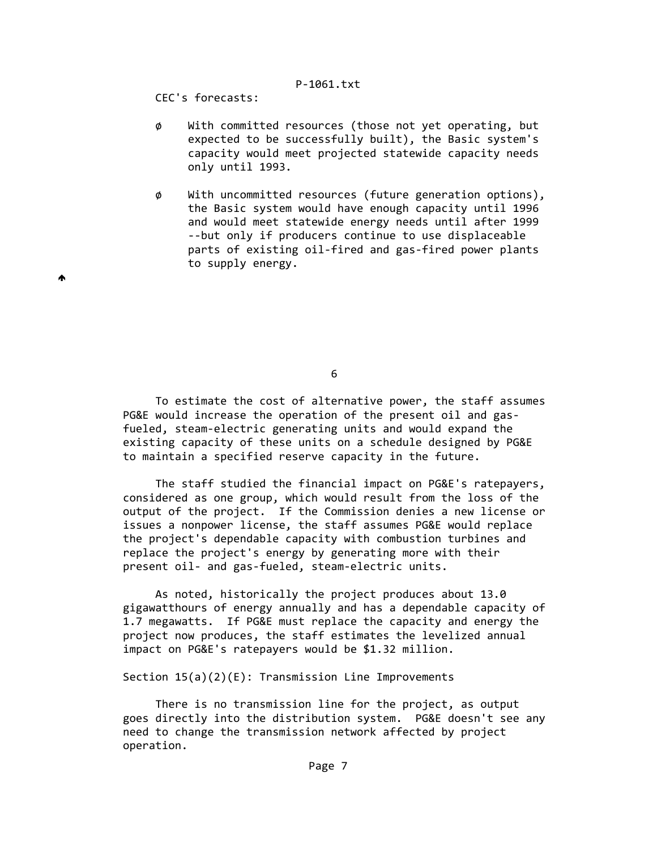CEC's forecasts:

♠

- ø With committed resources (those not yet operating, but expected to be successfully built), the Basic system's capacity would meet projected statewide capacity needs only until 1993.
- $\phi$  With uncommitted resources (future generation options), the Basic system would have enough capacity until 1996 and would meet statewide energy needs until after 1999 ‐‐but only if producers continue to use displaceable parts of existing oil‐fired and gas‐fired power plants to supply energy.

 $\sim$  6

 To estimate the cost of alternative power, the staff assumes PG&E would increase the operation of the present oil and gas- fueled, steam‐electric generating units and would expand the existing capacity of these units on a schedule designed by PG&E to maintain a specified reserve capacity in the future.

 The staff studied the financial impact on PG&E's ratepayers, considered as one group, which would result from the loss of the output of the project. If the Commission denies a new license or issues a nonpower license, the staff assumes PG&E would replace the project's dependable capacity with combustion turbines and replace the project's energy by generating more with their present oil- and gas-fueled, steam-electric units.

 As noted, historically the project produces about 13.0 gigawatthours of energy annually and has a dependable capacity of 1.7 megawatts. If PG&E must replace the capacity and energy the project now produces, the staff estimates the levelized annual impact on PG&E's ratepayers would be \$1.32 million.

Section  $15(a)(2)(E)$ : Transmission Line Improvements

 There is no transmission line for the project, as output goes directly into the distribution system. PG&E doesn't see any need to change the transmission network affected by project operation.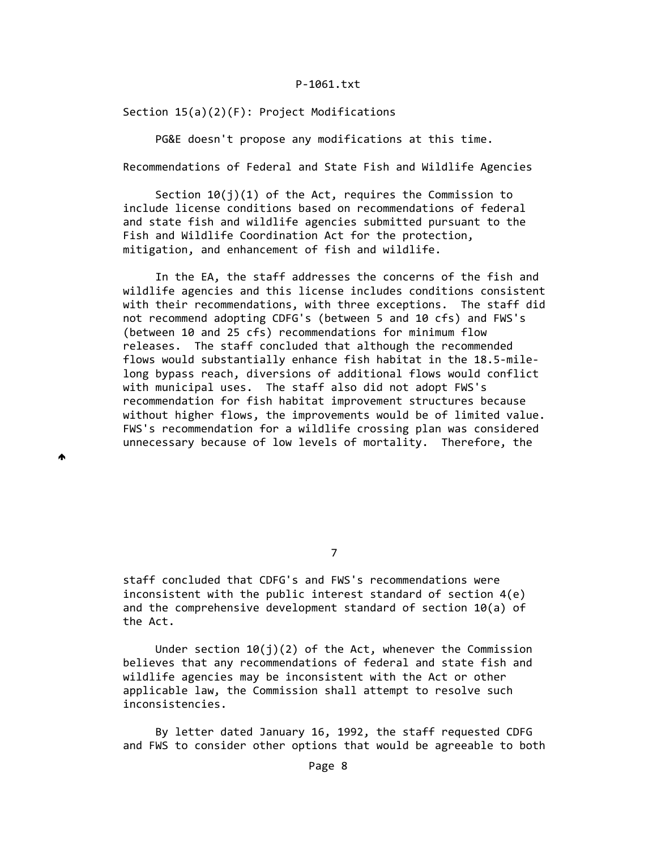Section 15(a)(2)(F): Project Modifications

PG&E doesn't propose any modifications at this time.

Recommendations of Federal and State Fish and Wildlife Agencies

Section  $10(j)(1)$  of the Act, requires the Commission to include license conditions based on recommendations of federal and state fish and wildlife agencies submitted pursuant to the Fish and Wildlife Coordination Act for the protection, mitigation, and enhancement of fish and wildlife.

 In the EA, the staff addresses the concerns of the fish and wildlife agencies and this license includes conditions consistent with their recommendations, with three exceptions. The staff did not recommend adopting CDFG's (between 5 and 10 cfs) and FWS's (between 10 and 25 cfs) recommendations for minimum flow releases. The staff concluded that although the recommended flows would substantially enhance fish habitat in the 18.5‐mile‐ long bypass reach, diversions of additional flows would conflict with municipal uses. The staff also did not adopt FWS's recommendation for fish habitat improvement structures because without higher flows, the improvements would be of limited value. FWS's recommendation for a wildlife crossing plan was considered unnecessary because of low levels of mortality. Therefore, the

▲

7

 staff concluded that CDFG's and FWS's recommendations were inconsistent with the public interest standard of section 4(e) and the comprehensive development standard of section 10(a) of the Act.

Under section  $10(j)(2)$  of the Act, whenever the Commission believes that any recommendations of federal and state fish and wildlife agencies may be inconsistent with the Act or other applicable law, the Commission shall attempt to resolve such inconsistencies.

 By letter dated January 16, 1992, the staff requested CDFG and FWS to consider other options that would be agreeable to both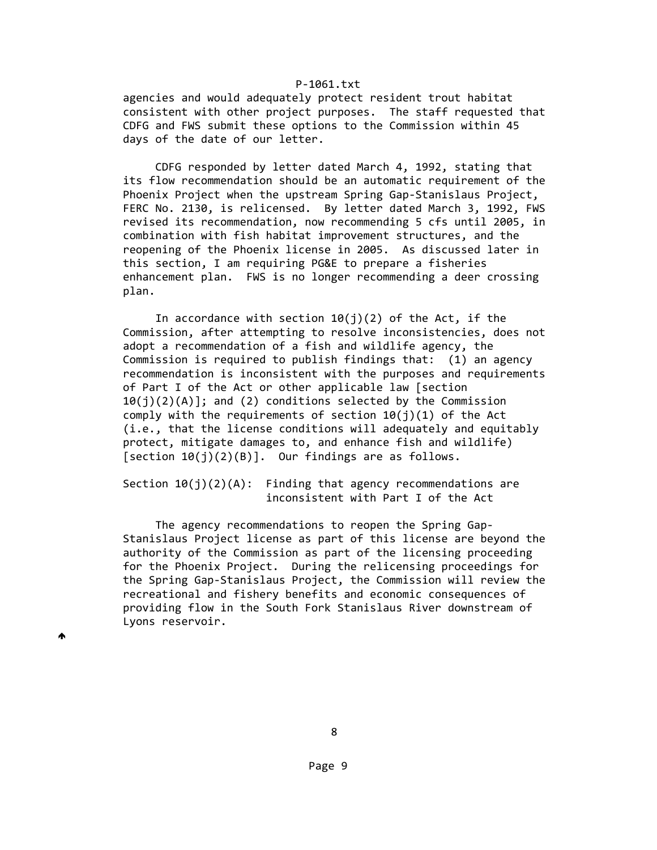agencies and would adequately protect resident trout habitat consistent with other project purposes. The staff requested that CDFG and FWS submit these options to the Commission within 45 days of the date of our letter.

 CDFG responded by letter dated March 4, 1992, stating that its flow recommendation should be an automatic requirement of the Phoenix Project when the upstream Spring Gap‐Stanislaus Project, FERC No. 2130, is relicensed. By letter dated March 3, 1992, FWS revised its recommendation, now recommending 5 cfs until 2005, in combination with fish habitat improvement structures, and the reopening of the Phoenix license in 2005. As discussed later in this section, I am requiring PG&E to prepare a fisheries enhancement plan. FWS is no longer recommending a deer crossing plan.

In accordance with section  $10(j)(2)$  of the Act, if the Commission, after attempting to resolve inconsistencies, does not adopt a recommendation of a fish and wildlife agency, the Commission is required to publish findings that: (1) an agency recommendation is inconsistent with the purposes and requirements of Part I of the Act or other applicable law [section  $10(j)(2)(A)$ ; and (2) conditions selected by the Commission comply with the requirements of section  $10(i)(1)$  of the Act (i.e., that the license conditions will adequately and equitably protect, mitigate damages to, and enhance fish and wildlife) [section  $10(j)(2)(B)$ ]. Our findings are as follows.

Section  $10(j)(2)(A)$ : Finding that agency recommendations are inconsistent with Part I of the Act

 The agency recommendations to reopen the Spring Gap‐ Stanislaus Project license as part of this license are beyond the authority of the Commission as part of the licensing proceeding for the Phoenix Project. During the relicensing proceedings for the Spring Gap‐Stanislaus Project, the Commission will review the recreational and fishery benefits and economic consequences of providing flow in the South Fork Stanislaus River downstream of Lyons reservoir.

₳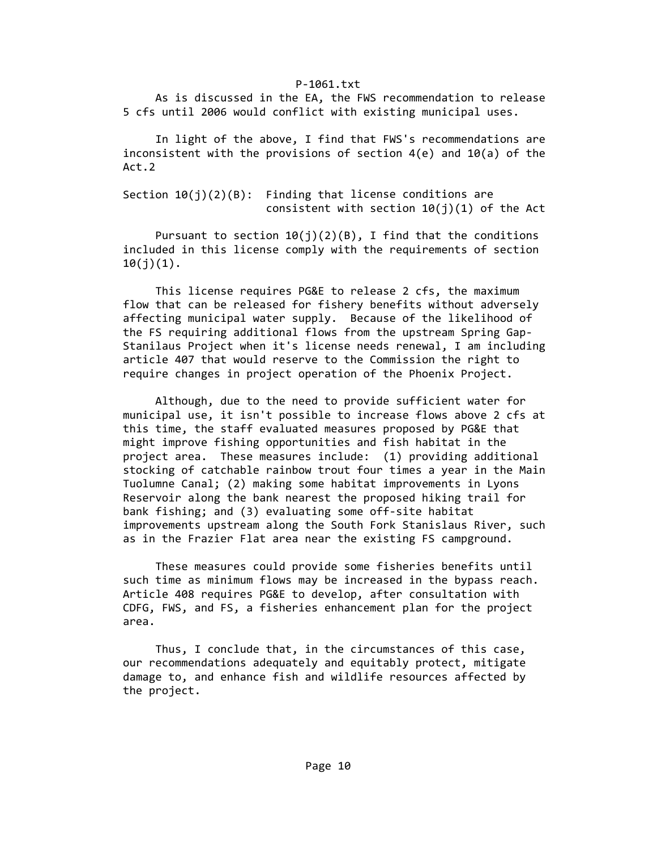As is discussed in the EA, the FWS recommendation to release 5 cfs until 2006 would conflict with existing municipal uses.

 In light of the above, I find that FWS's recommendations are inconsistent with the provisions of section 4(e) and 10(a) of the Act.2

Section  $10(j)(2)(B)$ : Finding that license conditions are consistent with section  $10(j)(1)$  of the Act

Pursuant to section  $10(j)(2)(B)$ , I find that the conditions included in this license comply with the requirements of section  $10(j)(1)$ .

 This license requires PG&E to release 2 cfs, the maximum flow that can be released for fishery benefits without adversely affecting municipal water supply. Because of the likelihood of the FS requiring additional flows from the upstream Spring Gap‐ Stanilaus Project when it's license needs renewal, I am including article 407 that would reserve to the Commission the right to require changes in project operation of the Phoenix Project.

 Although, due to the need to provide sufficient water for municipal use, it isn't possible to increase flows above 2 cfs at this time, the staff evaluated measures proposed by PG&E that might improve fishing opportunities and fish habitat in the project area. These measures include: (1) providing additional stocking of catchable rainbow trout four times a year in the Main Tuolumne Canal; (2) making some habitat improvements in Lyons Reservoir along the bank nearest the proposed hiking trail for bank fishing; and (3) evaluating some off‐site habitat improvements upstream along the South Fork Stanislaus River, such as in the Frazier Flat area near the existing FS campground.

 These measures could provide some fisheries benefits until such time as minimum flows may be increased in the bypass reach. Article 408 requires PG&E to develop, after consultation with CDFG, FWS, and FS, a fisheries enhancement plan for the project area.

 Thus, I conclude that, in the circumstances of this case, our recommendations adequately and equitably protect, mitigate damage to, and enhance fish and wildlife resources affected by the project.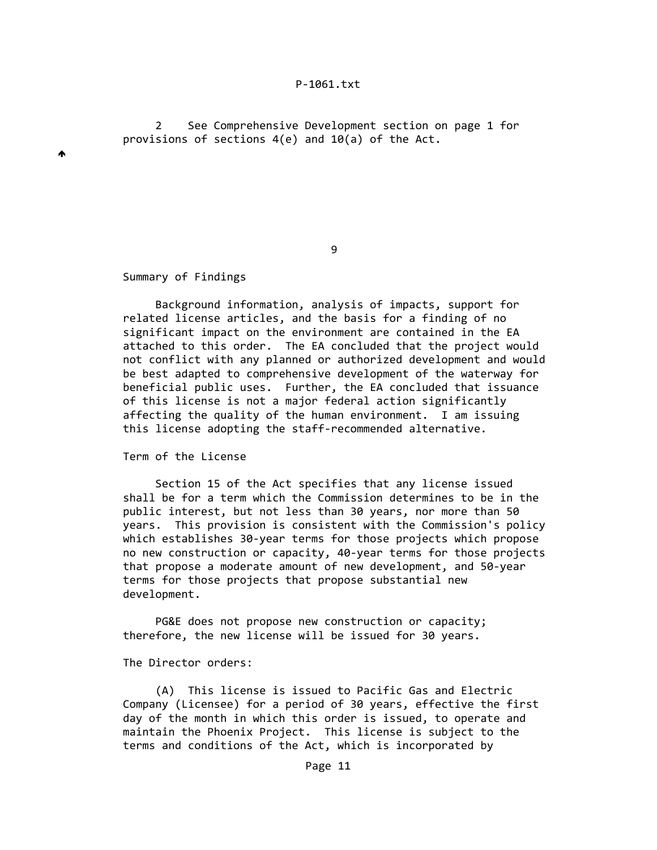2 See Comprehensive Development section on page 1 for provisions of sections  $4(e)$  and  $10(a)$  of the Act.

e de la construcción de la construcción de la construcción de la construcción de la construcción de la constru

### Summary of Findings

 $\blacktriangle$ 

 Background information, analysis of impacts, support for related license articles, and the basis for a finding of no significant impact on the environment are contained in the EA attached to this order. The EA concluded that the project would not conflict with any planned or authorized development and would be best adapted to comprehensive development of the waterway for beneficial public uses. Further, the EA concluded that issuance of this license is not a major federal action significantly affecting the quality of the human environment. I am issuing this license adopting the staff‐recommended alternative.

Term of the License

 Section 15 of the Act specifies that any license issued shall be for a term which the Commission determines to be in the public interest, but not less than 30 years, nor more than 50 years. This provision is consistent with the Commission's policy which establishes 30-year terms for those projects which propose no new construction or capacity, 40‐year terms for those projects that propose a moderate amount of new development, and 50‐year terms for those projects that propose substantial new development.

 PG&E does not propose new construction or capacity; therefore, the new license will be issued for 30 years.

The Director orders:

 (A) This license is issued to Pacific Gas and Electric Company (Licensee) for a period of 30 years, effective the first day of the month in which this order is issued, to operate and maintain the Phoenix Project. This license is subject to the terms and conditions of the Act, which is incorporated by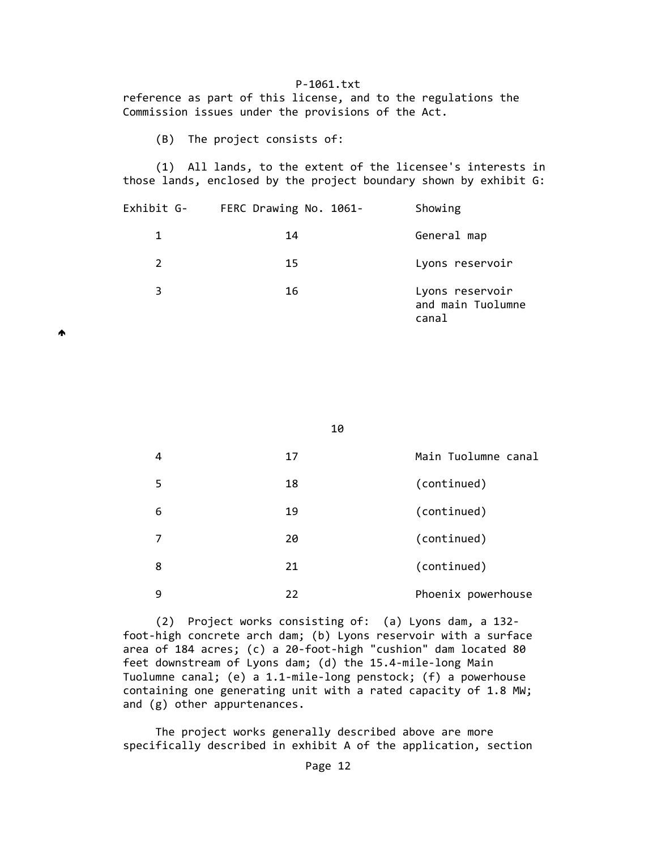reference as part of this license, and to the regulations the Commission issues under the provisions of the Act.

(B) The project consists of:

 (1) All lands, to the extent of the licensee's interests in those lands, enclosed by the project boundary shown by exhibit G:

| Exhibit G- | FERC Drawing No. 1061- | Showing                                       |
|------------|------------------------|-----------------------------------------------|
| 1.         | 14                     | General map                                   |
| 2          | 15                     | Lyons reservoir                               |
| 3          | 16                     | Lyons reservoir<br>and main Tuolumne<br>canal |

₳

10

| 4 | 17 | Main Tuolumne canal |
|---|----|---------------------|
| 5 | 18 | (continued)         |
| 6 | 19 | (continued)         |
| 7 | 20 | (continued)         |
| 8 | 21 | (continued)         |
| 9 | 22 | Phoenix powerhouse  |

 (2) Project works consisting of: (a) Lyons dam, a 132‐ foot‐high concrete arch dam; (b) Lyons reservoir with a surface area of 184 acres; (c) a 20-foot-high "cushion" dam located 80 feet downstream of Lyons dam; (d) the 15.4‐mile‐long Main Tuolumne canal; (e) a 1.1‐mile‐long penstock; (f) a powerhouse containing one generating unit with a rated capacity of 1.8 MW; and (g) other appurtenances.

 The project works generally described above are more specifically described in exhibit A of the application, section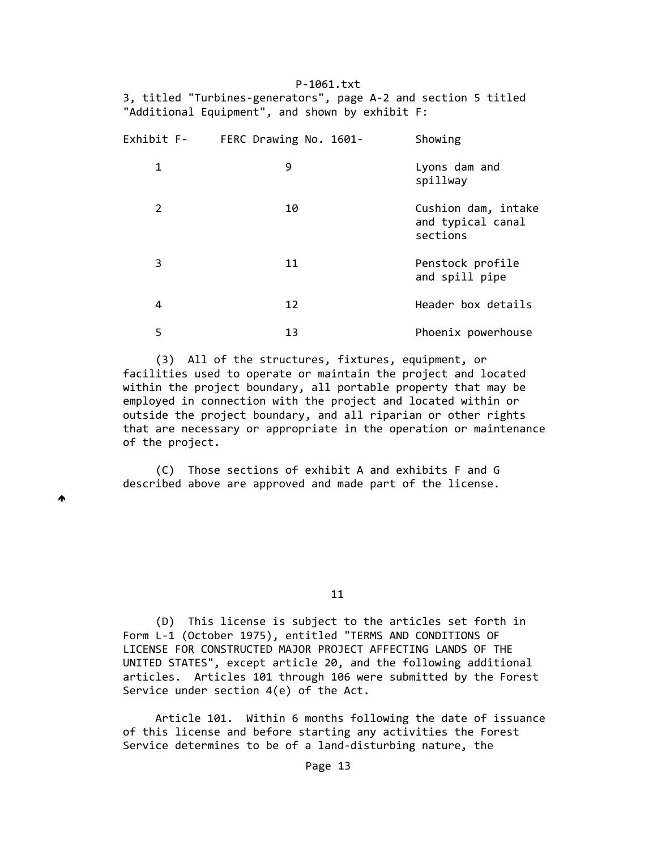P‐1061.txt 3, titled "Turbines‐generators", page A‐2 and section 5 titled "Additional Equipment", and shown by exhibit F:

| Exhibit F- | FERC Drawing No. 1601- | Showing                                              |
|------------|------------------------|------------------------------------------------------|
| 1          | 9                      | Lyons dam and<br>spillway                            |
| 2          | 10                     | Cushion dam, intake<br>and typical canal<br>sections |
| 3          | 11                     | Penstock profile<br>and spill pipe                   |
| 4          | 12                     | Header box details                                   |
| 5          | 13                     | Phoenix powerhouse                                   |

 (3) All of the structures, fixtures, equipment, or facilities used to operate or maintain the project and located within the project boundary, all portable property that may be employed in connection with the project and located within or outside the project boundary, and all riparian or other rights that are necessary or appropriate in the operation or maintenance of the project.

 (C) Those sections of exhibit A and exhibits F and G described above are approved and made part of the license.

₳

 $11$ 

 (D) This license is subject to the articles set forth in Form L‐1 (October 1975), entitled "TERMS AND CONDITIONS OF LICENSE FOR CONSTRUCTED MAJOR PROJECT AFFECTING LANDS OF THE UNITED STATES", except article 20, and the following additional articles. Articles 101 through 106 were submitted by the Forest Service under section 4(e) of the Act.

 Article 101. Within 6 months following the date of issuance of this license and before starting any activities the Forest Service determines to be of a land‐disturbing nature, the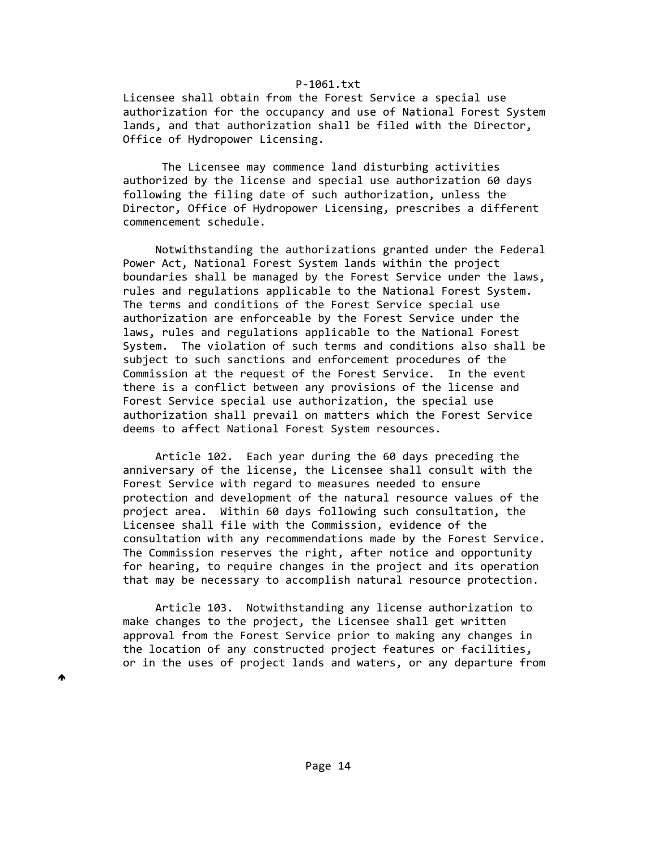Licensee shall obtain from the Forest Service a special use authorization for the occupancy and use of National Forest System lands, and that authorization shall be filed with the Director, Office of Hydropower Licensing.

 The Licensee may commence land disturbing activities authorized by the license and special use authorization 60 days following the filing date of such authorization, unless the Director, Office of Hydropower Licensing, prescribes a different commencement schedule.

 Notwithstanding the authorizations granted under the Federal Power Act, National Forest System lands within the project boundaries shall be managed by the Forest Service under the laws, rules and regulations applicable to the National Forest System. The terms and conditions of the Forest Service special use authorization are enforceable by the Forest Service under the laws, rules and regulations applicable to the National Forest System. The violation of such terms and conditions also shall be subject to such sanctions and enforcement procedures of the Commission at the request of the Forest Service. In the event there is a conflict between any provisions of the license and Forest Service special use authorization, the special use authorization shall prevail on matters which the Forest Service deems to affect National Forest System resources.

 Article 102. Each year during the 60 days preceding the anniversary of the license, the Licensee shall consult with the Forest Service with regard to measures needed to ensure protection and development of the natural resource values of the project area. Within 60 days following such consultation, the Licensee shall file with the Commission, evidence of the consultation with any recommendations made by the Forest Service. The Commission reserves the right, after notice and opportunity for hearing, to require changes in the project and its operation that may be necessary to accomplish natural resource protection.

 Article 103. Notwithstanding any license authorization to make changes to the project, the Licensee shall get written approval from the Forest Service prior to making any changes in the location of any constructed project features or facilities, or in the uses of project lands and waters, or any departure from

♠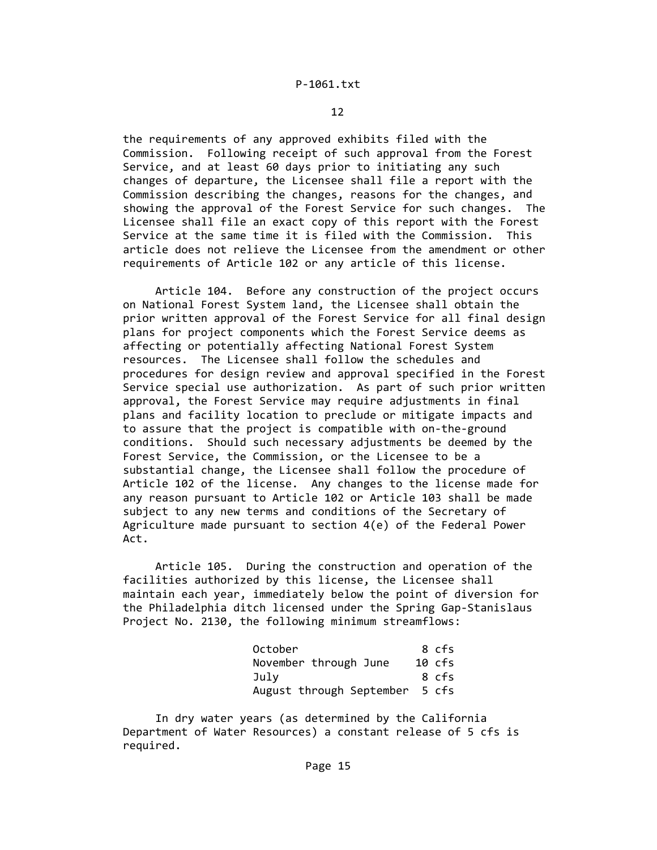the requirements of any approved exhibits filed with the Commission. Following receipt of such approval from the Forest Service, and at least 60 days prior to initiating any such changes of departure, the Licensee shall file a report with the Commission describing the changes, reasons for the changes, and showing the approval of the Forest Service for such changes. The Licensee shall file an exact copy of this report with the Forest Service at the same time it is filed with the Commission. This article does not relieve the Licensee from the amendment or other requirements of Article 102 or any article of this license.

 Article 104. Before any construction of the project occurs on National Forest System land, the Licensee shall obtain the prior written approval of the Forest Service for all final design plans for project components which the Forest Service deems as affecting or potentially affecting National Forest System resources. The Licensee shall follow the schedules and procedures for design review and approval specified in the Forest Service special use authorization. As part of such prior written approval, the Forest Service may require adjustments in final plans and facility location to preclude or mitigate impacts and to assure that the project is compatible with on‐the‐ground conditions. Should such necessary adjustments be deemed by the Forest Service, the Commission, or the Licensee to be a substantial change, the Licensee shall follow the procedure of Article 102 of the license. Any changes to the license made for any reason pursuant to Article 102 or Article 103 shall be made subject to any new terms and conditions of the Secretary of Agriculture made pursuant to section 4(e) of the Federal Power Act.

 Article 105. During the construction and operation of the facilities authorized by this license, the Licensee shall maintain each year, immediately below the point of diversion for the Philadelphia ditch licensed under the Spring Gap‐Stanislaus Project No. 2130, the following minimum streamflows:

| October                        | 8 cfs  |
|--------------------------------|--------|
| November through June          | 10 cfs |
| Julv                           | 8 cfs  |
| August through September 5 cfs |        |

 In dry water years (as determined by the California Department of Water Resources) a constant release of 5 cfs is required.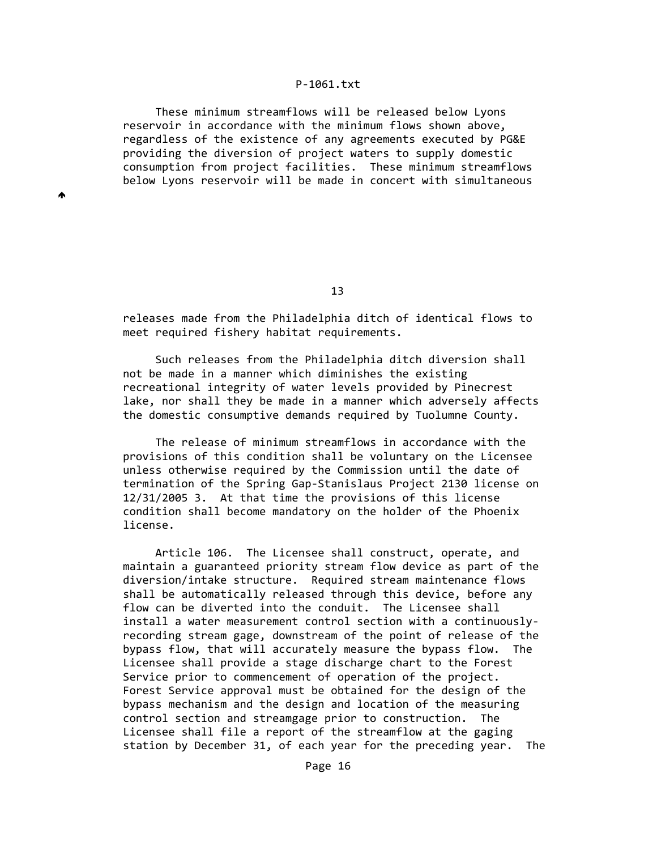These minimum streamflows will be released below Lyons reservoir in accordance with the minimum flows shown above, regardless of the existence of any agreements executed by PG&E providing the diversion of project waters to supply domestic consumption from project facilities. These minimum streamflows below Lyons reservoir will be made in concert with simultaneous

♠

13 and 13 and 13 and 13 and 13 and 13 and 13 and 13 and 13 and 13 and 13 and 13 and 13 and 13 and 13 and 13 an

 releases made from the Philadelphia ditch of identical flows to meet required fishery habitat requirements.

 Such releases from the Philadelphia ditch diversion shall not be made in a manner which diminishes the existing recreational integrity of water levels provided by Pinecrest lake, nor shall they be made in a manner which adversely affects the domestic consumptive demands required by Tuolumne County.

 The release of minimum streamflows in accordance with the provisions of this condition shall be voluntary on the Licensee unless otherwise required by the Commission until the date of termination of the Spring Gap‐Stanislaus Project 2130 license on 12/31/2005 3. At that time the provisions of this license condition shall become mandatory on the holder of the Phoenix license.

 Article 106. The Licensee shall construct, operate, and maintain a guaranteed priority stream flow device as part of the diversion/intake structure. Required stream maintenance flows shall be automatically released through this device, before any flow can be diverted into the conduit. The Licensee shall install a water measurement control section with a continuously‐ recording stream gage, downstream of the point of release of the bypass flow, that will accurately measure the bypass flow. The Licensee shall provide a stage discharge chart to the Forest Service prior to commencement of operation of the project. Forest Service approval must be obtained for the design of the bypass mechanism and the design and location of the measuring control section and streamgage prior to construction. The Licensee shall file a report of the streamflow at the gaging station by December 31, of each year for the preceding year. The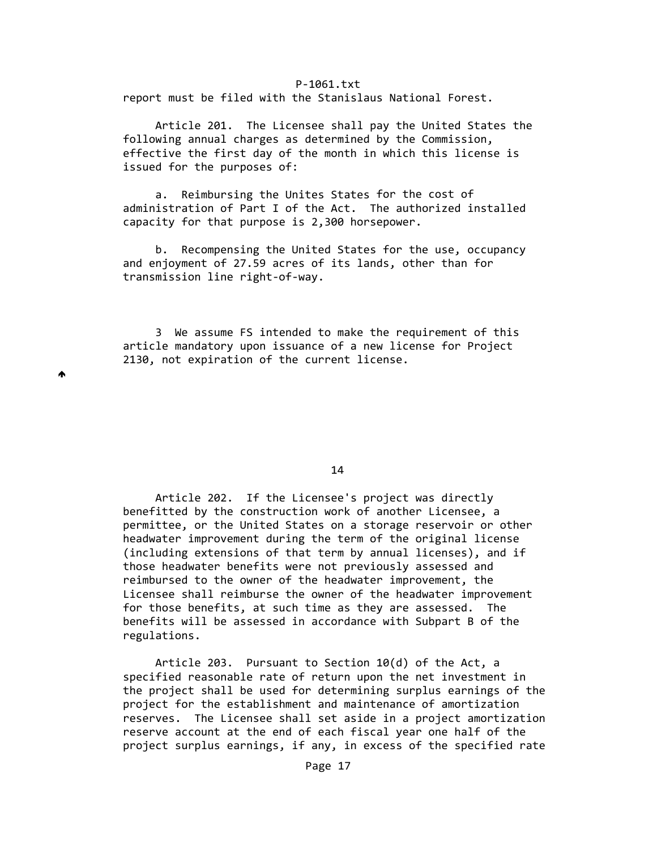report must be filed with the Stanislaus National Forest.

 Article 201. The Licensee shall pay the United States the following annual charges as determined by the Commission, effective the first day of the month in which this license is issued for the purposes of:

 a. Reimbursing the Unites States for the cost of administration of Part I of the Act. The authorized installed capacity for that purpose is 2,300 horsepower.

 b. Recompensing the United States for the use, occupancy and enjoyment of 27.59 acres of its lands, other than for transmission line right‐of‐way.

 3 We assume FS intended to make the requirement of this article mandatory upon issuance of a new license for Project 2130, not expiration of the current license.

Ѧ

14

 Article 202. If the Licensee's project was directly benefitted by the construction work of another Licensee, a permittee, or the United States on a storage reservoir or other headwater improvement during the term of the original license (including extensions of that term by annual licenses), and if those headwater benefits were not previously assessed and reimbursed to the owner of the headwater improvement, the Licensee shall reimburse the owner of the headwater improvement for those benefits, at such time as they are assessed. The benefits will be assessed in accordance with Subpart B of the regulations.

 Article 203. Pursuant to Section 10(d) of the Act, a specified reasonable rate of return upon the net investment in the project shall be used for determining surplus earnings of the project for the establishment and maintenance of amortization reserves. The Licensee shall set aside in a project amortization reserve account at the end of each fiscal year one half of the project surplus earnings, if any, in excess of the specified rate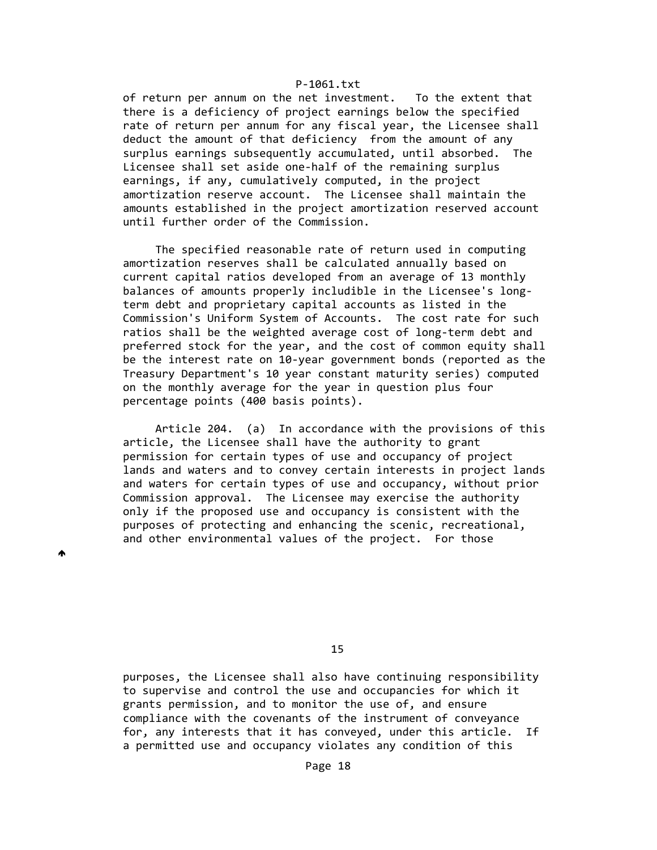of return per annum on the net investment. To the extent that there is a deficiency of project earnings below the specified rate of return per annum for any fiscal year, the Licensee shall deduct the amount of that deficiency from the amount of any surplus earnings subsequently accumulated, until absorbed. The Licensee shall set aside one-half of the remaining surplus earnings, if any, cumulatively computed, in the project amortization reserve account. The Licensee shall maintain the amounts established in the project amortization reserved account until further order of the Commission.

 The specified reasonable rate of return used in computing amortization reserves shall be calculated annually based on current capital ratios developed from an average of 13 monthly balances of amounts properly includible in the Licensee's long‐ term debt and proprietary capital accounts as listed in the Commission's Uniform System of Accounts. The cost rate for such ratios shall be the weighted average cost of long‐term debt and preferred stock for the year, and the cost of common equity shall be the interest rate on 10‐year government bonds (reported as the Treasury Department's 10 year constant maturity series) computed on the monthly average for the year in question plus four percentage points (400 basis points).

 Article 204. (a) In accordance with the provisions of this article, the Licensee shall have the authority to grant permission for certain types of use and occupancy of project lands and waters and to convey certain interests in project lands and waters for certain types of use and occupancy, without prior Commission approval. The Licensee may exercise the authority only if the proposed use and occupancy is consistent with the purposes of protecting and enhancing the scenic, recreational, and other environmental values of the project. For those

₳

15 and 15 and 15 and 15 and 15 and 15 and 15 and 15 and 15 and 15 and 15 and 15 and 15 and 15 and 15 and 15 an

 purposes, the Licensee shall also have continuing responsibility to supervise and control the use and occupancies for which it grants permission, and to monitor the use of, and ensure compliance with the covenants of the instrument of conveyance for, any interests that it has conveyed, under this article. If a permitted use and occupancy violates any condition of this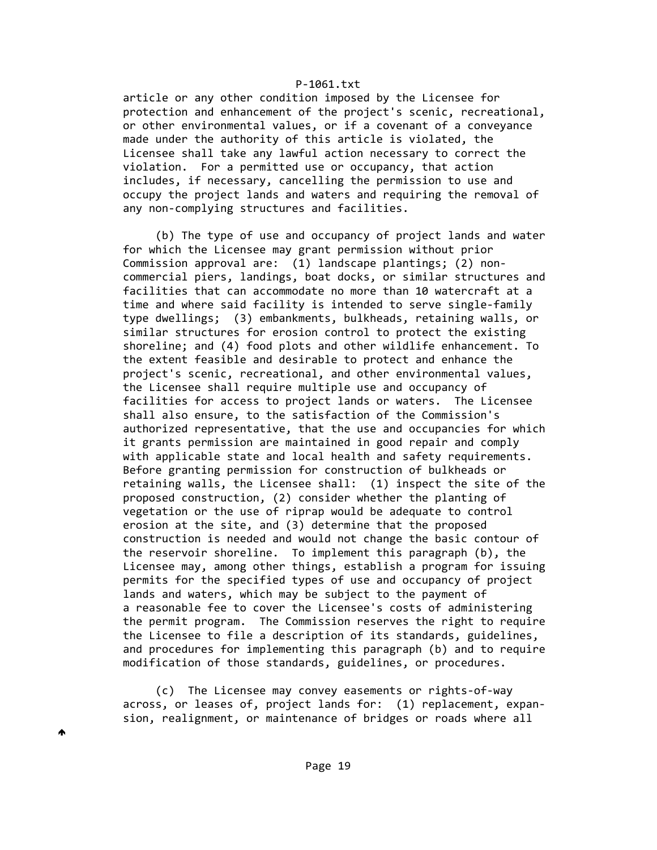article or any other condition imposed by the Licensee for protection and enhancement of the project's scenic, recreational, or other environmental values, or if a covenant of a conveyance made under the authority of this article is violated, the Licensee shall take any lawful action necessary to correct the violation. For a permitted use or occupancy, that action includes, if necessary, cancelling the permission to use and occupy the project lands and waters and requiring the removal of any non‐complying structures and facilities.

 (b) The type of use and occupancy of project lands and water for which the Licensee may grant permission without prior Commission approval are: (1) landscape plantings; (2) non‐ commercial piers, landings, boat docks, or similar structures and facilities that can accommodate no more than 10 watercraft at a time and where said facility is intended to serve single‐family type dwellings; (3) embankments, bulkheads, retaining walls, or similar structures for erosion control to protect the existing shoreline; and (4) food plots and other wildlife enhancement. To the extent feasible and desirable to protect and enhance the project's scenic, recreational, and other environmental values, the Licensee shall require multiple use and occupancy of facilities for access to project lands or waters. The Licensee shall also ensure, to the satisfaction of the Commission's authorized representative, that the use and occupancies for which it grants permission are maintained in good repair and comply with applicable state and local health and safety requirements. Before granting permission for construction of bulkheads or retaining walls, the Licensee shall: (1) inspect the site of the proposed construction, (2) consider whether the planting of vegetation or the use of riprap would be adequate to control erosion at the site, and (3) determine that the proposed construction is needed and would not change the basic contour of the reservoir shoreline. To implement this paragraph (b), the Licensee may, among other things, establish a program for issuing permits for the specified types of use and occupancy of project lands and waters, which may be subject to the payment of a reasonable fee to cover the Licensee's costs of administering the permit program. The Commission reserves the right to require the Licensee to file a description of its standards, guidelines, and procedures for implementing this paragraph (b) and to require modification of those standards, guidelines, or procedures.

 (c) The Licensee may convey easements or rights‐of‐way across, or leases of, project lands for: (1) replacement, expan‐ sion, realignment, or maintenance of bridges or roads where all

♠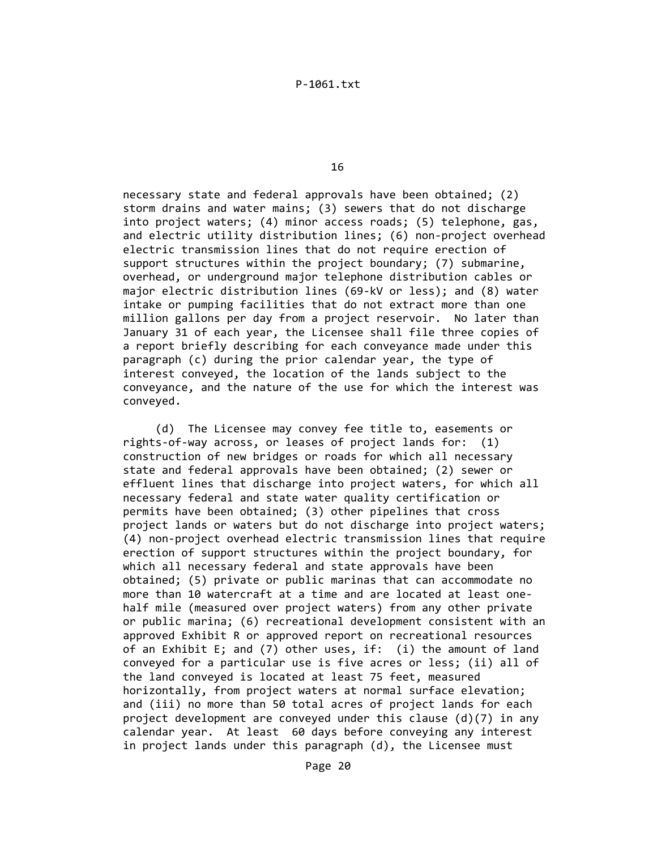16

 necessary state and federal approvals have been obtained; (2) storm drains and water mains; (3) sewers that do not discharge into project waters; (4) minor access roads; (5) telephone, gas, and electric utility distribution lines; (6) non-project overhead electric transmission lines that do not require erection of support structures within the project boundary; (7) submarine, overhead, or underground major telephone distribution cables or major electric distribution lines (69‐kV or less); and (8) water intake or pumping facilities that do not extract more than one million gallons per day from a project reservoir. No later than January 31 of each year, the Licensee shall file three copies of a report briefly describing for each conveyance made under this paragraph (c) during the prior calendar year, the type of interest conveyed, the location of the lands subject to the conveyance, and the nature of the use for which the interest was conveyed.

 (d) The Licensee may convey fee title to, easements or rights‐of‐way across, or leases of project lands for: (1) construction of new bridges or roads for which all necessary state and federal approvals have been obtained; (2) sewer or effluent lines that discharge into project waters, for which all necessary federal and state water quality certification or permits have been obtained; (3) other pipelines that cross project lands or waters but do not discharge into project waters; (4) non‐project overhead electric transmission lines that require erection of support structures within the project boundary, for which all necessary federal and state approvals have been obtained; (5) private or public marinas that can accommodate no more than 10 watercraft at a time and are located at least one‐ half mile (measured over project waters) from any other private or public marina; (6) recreational development consistent with an approved Exhibit R or approved report on recreational resources of an Exhibit E; and (7) other uses, if: (i) the amount of land conveyed for a particular use is five acres or less; (ii) all of the land conveyed is located at least 75 feet, measured horizontally, from project waters at normal surface elevation; and (iii) no more than 50 total acres of project lands for each project development are conveyed under this clause  $(d)(7)$  in any calendar year. At least 60 days before conveying any interest in project lands under this paragraph (d), the Licensee must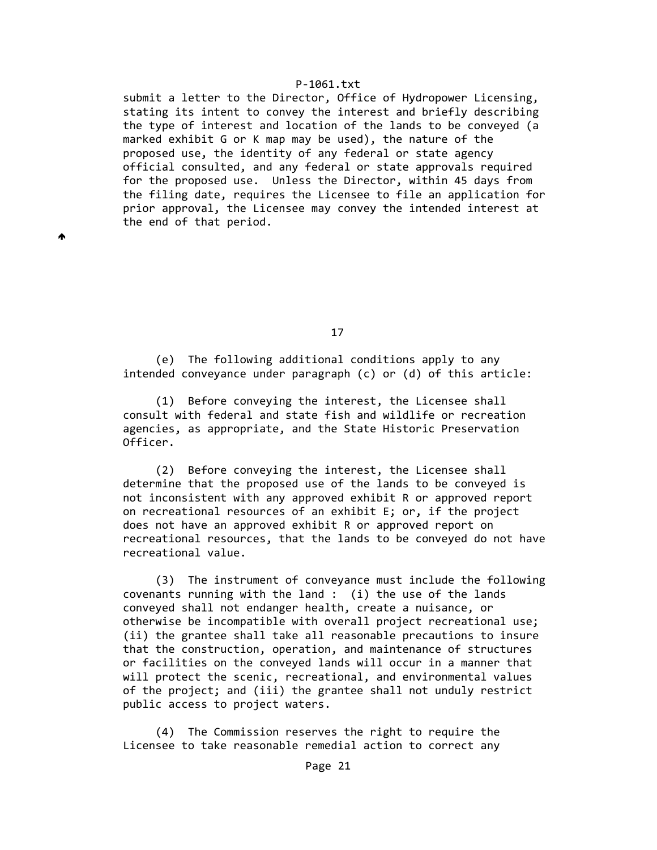submit a letter to the Director, Office of Hydropower Licensing, stating its intent to convey the interest and briefly describing the type of interest and location of the lands to be conveyed (a marked exhibit G or K map may be used), the nature of the proposed use, the identity of any federal or state agency official consulted, and any federal or state approvals required for the proposed use. Unless the Director, within 45 days from the filing date, requires the Licensee to file an application for prior approval, the Licensee may convey the intended interest at the end of that period.

₳

17

 (e) The following additional conditions apply to any intended conveyance under paragraph (c) or (d) of this article:

 (1) Before conveying the interest, the Licensee shall consult with federal and state fish and wildlife or recreation agencies, as appropriate, and the State Historic Preservation Officer.

 (2) Before conveying the interest, the Licensee shall determine that the proposed use of the lands to be conveyed is not inconsistent with any approved exhibit R or approved report on recreational resources of an exhibit E; or, if the project does not have an approved exhibit R or approved report on recreational resources, that the lands to be conveyed do not have recreational value.

 (3) The instrument of conveyance must include the following covenants running with the land : (i) the use of the lands conveyed shall not endanger health, create a nuisance, or otherwise be incompatible with overall project recreational use; (ii) the grantee shall take all reasonable precautions to insure that the construction, operation, and maintenance of structures or facilities on the conveyed lands will occur in a manner that will protect the scenic, recreational, and environmental values of the project; and (iii) the grantee shall not unduly restrict public access to project waters.

 (4) The Commission reserves the right to require the Licensee to take reasonable remedial action to correct any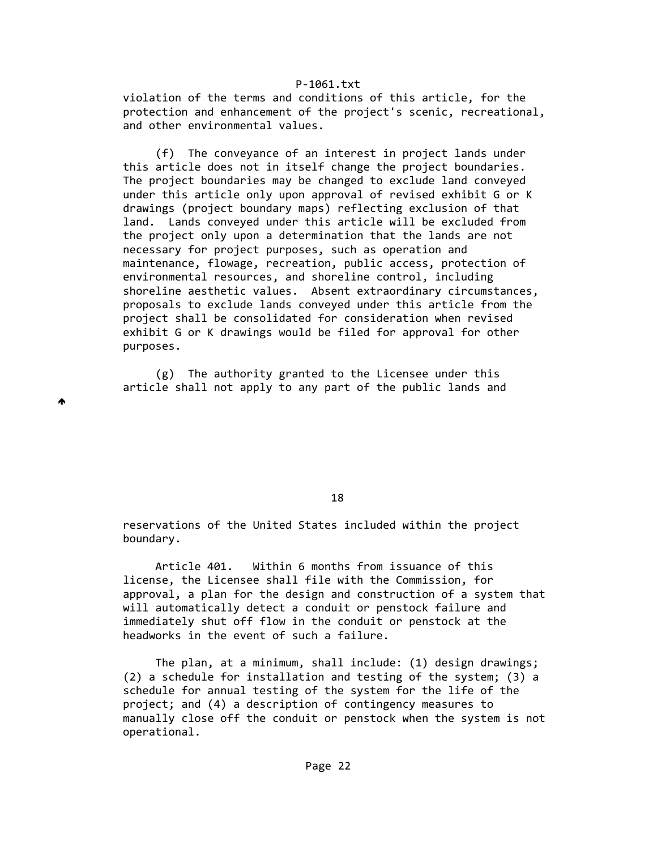violation of the terms and conditions of this article, for the protection and enhancement of the project's scenic, recreational, and other environmental values.

 (f) The conveyance of an interest in project lands under this article does not in itself change the project boundaries. The project boundaries may be changed to exclude land conveyed under this article only upon approval of revised exhibit G or K drawings (project boundary maps) reflecting exclusion of that land. Lands conveyed under this article will be excluded from the project only upon a determination that the lands are not necessary for project purposes, such as operation and maintenance, flowage, recreation, public access, protection of environmental resources, and shoreline control, including shoreline aesthetic values. Absent extraordinary circumstances, proposals to exclude lands conveyed under this article from the project shall be consolidated for consideration when revised exhibit G or K drawings would be filed for approval for other purposes.

 (g) The authority granted to the Licensee under this article shall not apply to any part of the public lands and

₳

18

 reservations of the United States included within the project boundary.

 Article 401. Within 6 months from issuance of this license, the Licensee shall file with the Commission, for approval, a plan for the design and construction of a system that will automatically detect a conduit or penstock failure and immediately shut off flow in the conduit or penstock at the headworks in the event of such a failure.

 The plan, at a minimum, shall include: (1) design drawings; (2) a schedule for installation and testing of the system; (3) a schedule for annual testing of the system for the life of the project; and (4) a description of contingency measures to manually close off the conduit or penstock when the system is not operational.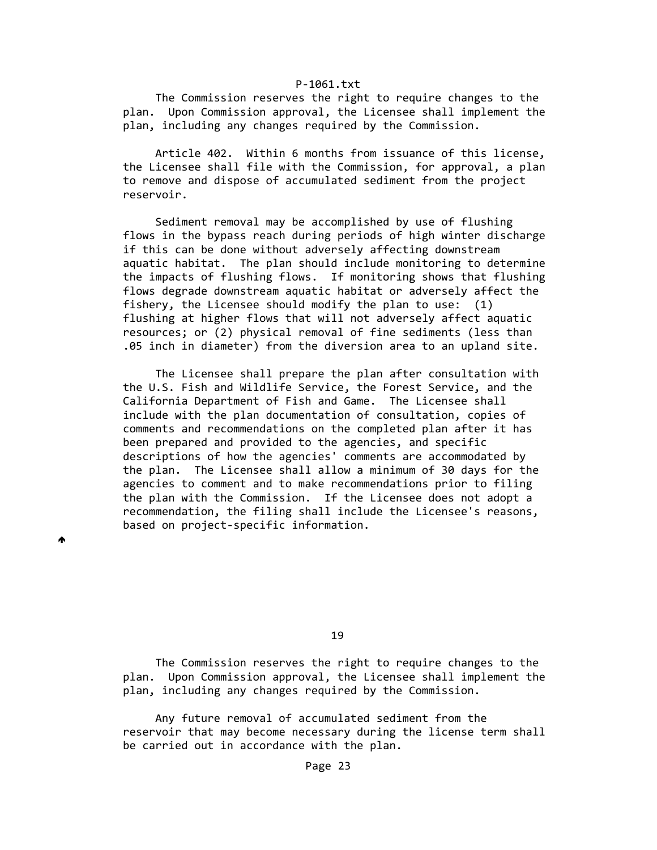The Commission reserves the right to require changes to the plan. Upon Commission approval, the Licensee shall implement the plan, including any changes required by the Commission.

 Article 402. Within 6 months from issuance of this license, the Licensee shall file with the Commission, for approval, a plan to remove and dispose of accumulated sediment from the project reservoir.

 Sediment removal may be accomplished by use of flushing flows in the bypass reach during periods of high winter discharge if this can be done without adversely affecting downstream aquatic habitat. The plan should include monitoring to determine the impacts of flushing flows. If monitoring shows that flushing flows degrade downstream aquatic habitat or adversely affect the fishery, the Licensee should modify the plan to use: (1) flushing at higher flows that will not adversely affect aquatic resources; or (2) physical removal of fine sediments (less than .05 inch in diameter) from the diversion area to an upland site.

 The Licensee shall prepare the plan after consultation with the U.S. Fish and Wildlife Service, the Forest Service, and the California Department of Fish and Game. The Licensee shall include with the plan documentation of consultation, copies of comments and recommendations on the completed plan after it has been prepared and provided to the agencies, and specific descriptions of how the agencies' comments are accommodated by the plan. The Licensee shall allow a minimum of 30 days for the agencies to comment and to make recommendations prior to filing the plan with the Commission. If the Licensee does not adopt a recommendation, the filing shall include the Licensee's reasons, based on project‐specific information.

₳

19

 The Commission reserves the right to require changes to the plan. Upon Commission approval, the Licensee shall implement the plan, including any changes required by the Commission.

 Any future removal of accumulated sediment from the reservoir that may become necessary during the license term shall be carried out in accordance with the plan.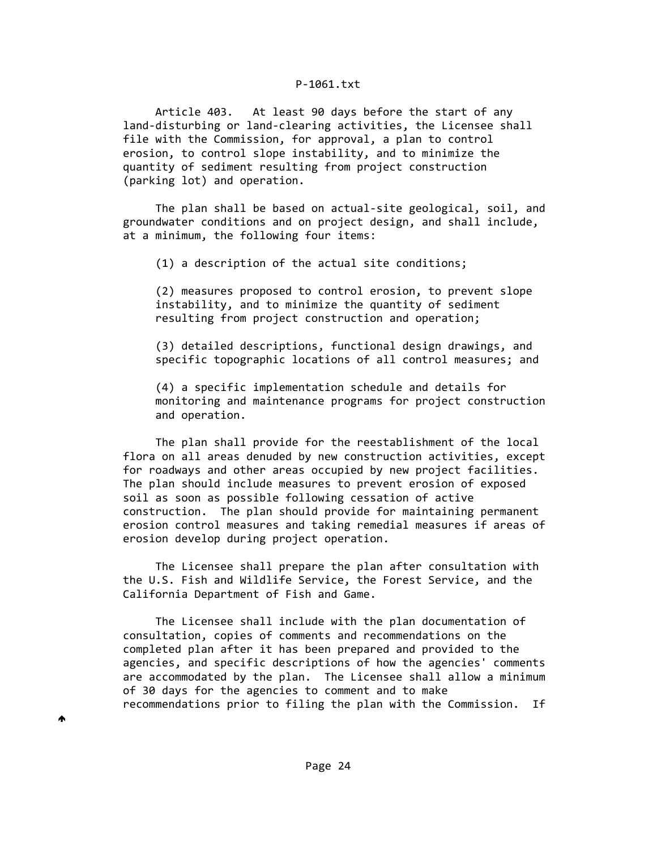Article 403. At least 90 days before the start of any land‐disturbing or land‐clearing activities, the Licensee shall file with the Commission, for approval, a plan to control erosion, to control slope instability, and to minimize the quantity of sediment resulting from project construction (parking lot) and operation.

 The plan shall be based on actual‐site geological, soil, and groundwater conditions and on project design, and shall include, at a minimum, the following four items:

(1) a description of the actual site conditions;

 (2) measures proposed to control erosion, to prevent slope instability, and to minimize the quantity of sediment resulting from project construction and operation;

 (3) detailed descriptions, functional design drawings, and specific topographic locations of all control measures; and

 (4) a specific implementation schedule and details for monitoring and maintenance programs for project construction and operation.

 The plan shall provide for the reestablishment of the local flora on all areas denuded by new construction activities, except for roadways and other areas occupied by new project facilities. The plan should include measures to prevent erosion of exposed soil as soon as possible following cessation of active construction. The plan should provide for maintaining permanent erosion control measures and taking remedial measures if areas of erosion develop during project operation.

 The Licensee shall prepare the plan after consultation with the U.S. Fish and Wildlife Service, the Forest Service, and the California Department of Fish and Game.

 The Licensee shall include with the plan documentation of consultation, copies of comments and recommendations on the completed plan after it has been prepared and provided to the agencies, and specific descriptions of how the agencies' comments are accommodated by the plan. The Licensee shall allow a minimum of 30 days for the agencies to comment and to make recommendations prior to filing the plan with the Commission. If

♠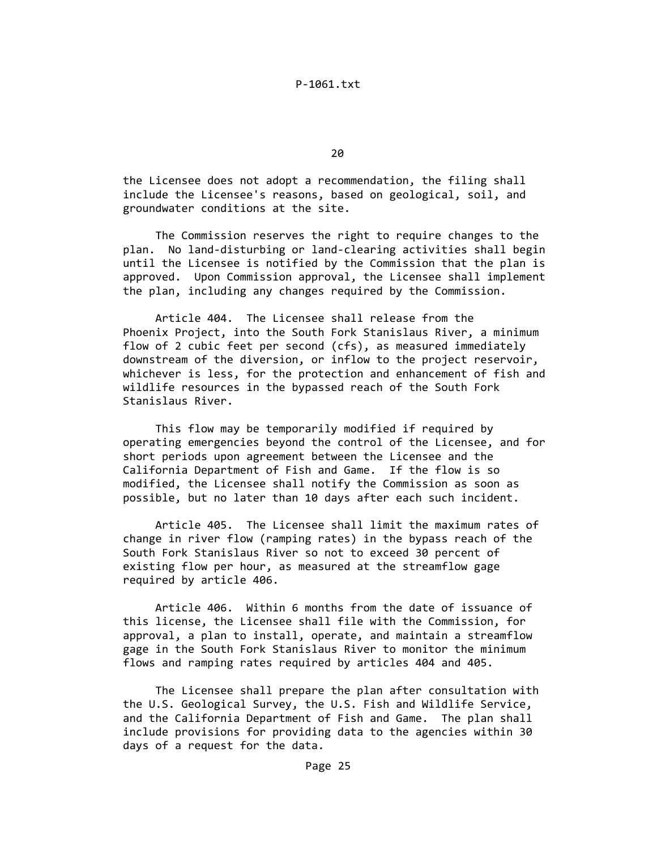$20$ 

 the Licensee does not adopt a recommendation, the filing shall include the Licensee's reasons, based on geological, soil, and groundwater conditions at the site.

 The Commission reserves the right to require changes to the plan. No land‐disturbing or land‐clearing activities shall begin until the Licensee is notified by the Commission that the plan is approved. Upon Commission approval, the Licensee shall implement the plan, including any changes required by the Commission.

 Article 404. The Licensee shall release from the Phoenix Project, into the South Fork Stanislaus River, a minimum flow of 2 cubic feet per second (cfs), as measured immediately downstream of the diversion, or inflow to the project reservoir, whichever is less, for the protection and enhancement of fish and wildlife resources in the bypassed reach of the South Fork Stanislaus River.

 This flow may be temporarily modified if required by operating emergencies beyond the control of the Licensee, and for short periods upon agreement between the Licensee and the California Department of Fish and Game. If the flow is so modified, the Licensee shall notify the Commission as soon as possible, but no later than 10 days after each such incident.

 Article 405. The Licensee shall limit the maximum rates of change in river flow (ramping rates) in the bypass reach of the South Fork Stanislaus River so not to exceed 30 percent of existing flow per hour, as measured at the streamflow gage required by article 406.

 Article 406. Within 6 months from the date of issuance of this license, the Licensee shall file with the Commission, for approval, a plan to install, operate, and maintain a streamflow gage in the South Fork Stanislaus River to monitor the minimum flows and ramping rates required by articles 404 and 405.

 The Licensee shall prepare the plan after consultation with the U.S. Geological Survey, the U.S. Fish and Wildlife Service, and the California Department of Fish and Game. The plan shall include provisions for providing data to the agencies within 30 days of a request for the data.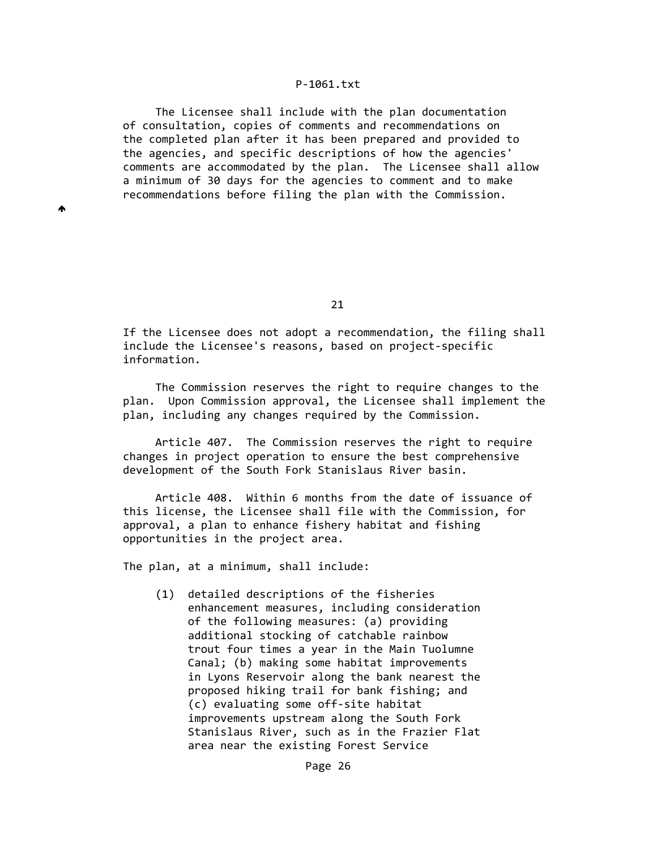The Licensee shall include with the plan documentation of consultation, copies of comments and recommendations on the completed plan after it has been prepared and provided to the agencies, and specific descriptions of how the agencies' comments are accommodated by the plan. The Licensee shall allow a minimum of 30 days for the agencies to comment and to make recommendations before filing the plan with the Commission.

21

 If the Licensee does not adopt a recommendation, the filing shall include the Licensee's reasons, based on project‐specific information.

 The Commission reserves the right to require changes to the plan. Upon Commission approval, the Licensee shall implement the plan, including any changes required by the Commission.

 Article 407. The Commission reserves the right to require changes in project operation to ensure the best comprehensive development of the South Fork Stanislaus River basin.

 Article 408. Within 6 months from the date of issuance of this license, the Licensee shall file with the Commission, for approval, a plan to enhance fishery habitat and fishing opportunities in the project area.

The plan, at a minimum, shall include:

♠

 (1) detailed descriptions of the fisheries enhancement measures, including consideration of the following measures: (a) providing additional stocking of catchable rainbow trout four times a year in the Main Tuolumne Canal; (b) making some habitat improvements in Lyons Reservoir along the bank nearest the proposed hiking trail for bank fishing; and (c) evaluating some off‐site habitat improvements upstream along the South Fork Stanislaus River, such as in the Frazier Flat area near the existing Forest Service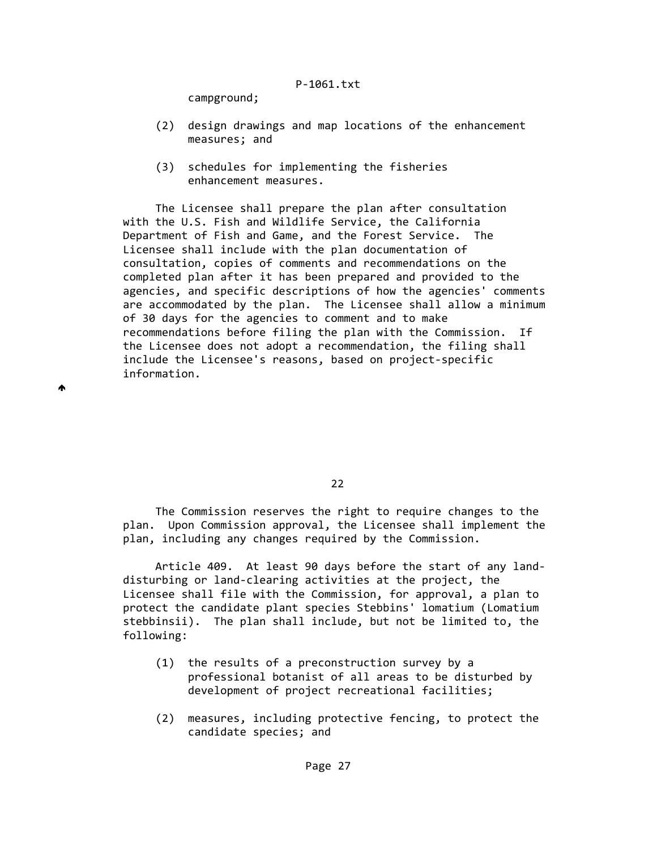campground;

♠

- (2) design drawings and map locations of the enhancement measures; and
- (3) schedules for implementing the fisheries enhancement measures.

 The Licensee shall prepare the plan after consultation with the U.S. Fish and Wildlife Service, the California Department of Fish and Game, and the Forest Service. The Licensee shall include with the plan documentation of consultation, copies of comments and recommendations on the completed plan after it has been prepared and provided to the agencies, and specific descriptions of how the agencies' comments are accommodated by the plan. The Licensee shall allow a minimum of 30 days for the agencies to comment and to make recommendations before filing the plan with the Commission. If the Licensee does not adopt a recommendation, the filing shall include the Licensee's reasons, based on project‐specific information.

<u>22</u>

 The Commission reserves the right to require changes to the plan. Upon Commission approval, the Licensee shall implement the plan, including any changes required by the Commission.

 Article 409. At least 90 days before the start of any land‐ disturbing or land‐clearing activities at the project, the Licensee shall file with the Commission, for approval, a plan to protect the candidate plant species Stebbins' lomatium (Lomatium stebbinsii). The plan shall include, but not be limited to, the following:

- (1) the results of a preconstruction survey by a professional botanist of all areas to be disturbed by development of project recreational facilities;
- (2) measures, including protective fencing, to protect the candidate species; and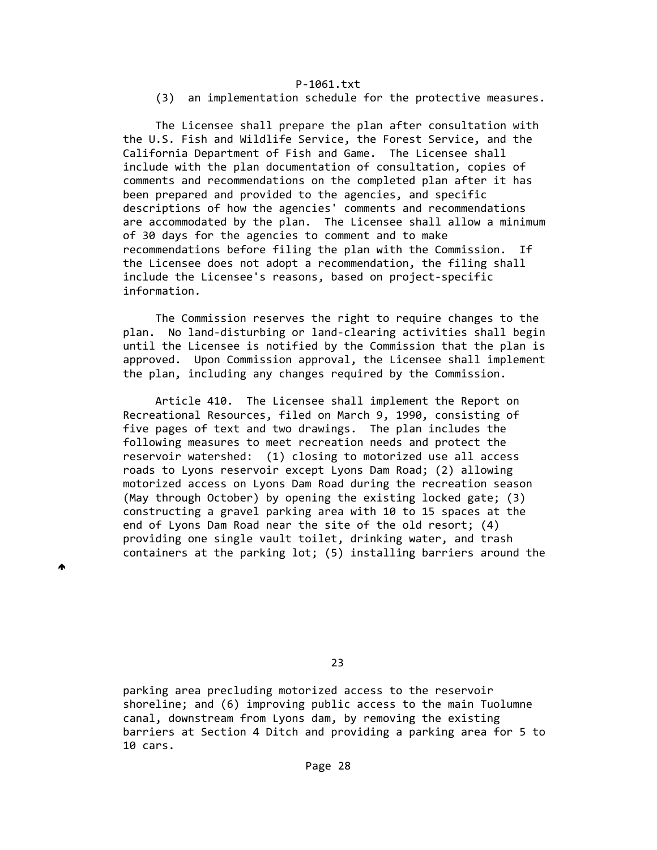(3) an implementation schedule for the protective measures.

 The Licensee shall prepare the plan after consultation with the U.S. Fish and Wildlife Service, the Forest Service, and the California Department of Fish and Game. The Licensee shall include with the plan documentation of consultation, copies of comments and recommendations on the completed plan after it has been prepared and provided to the agencies, and specific descriptions of how the agencies' comments and recommendations are accommodated by the plan. The Licensee shall allow a minimum of 30 days for the agencies to comment and to make recommendations before filing the plan with the Commission. If the Licensee does not adopt a recommendation, the filing shall include the Licensee's reasons, based on project‐specific information.

 The Commission reserves the right to require changes to the plan. No land‐disturbing or land‐clearing activities shall begin until the Licensee is notified by the Commission that the plan is approved. Upon Commission approval, the Licensee shall implement the plan, including any changes required by the Commission.

 Article 410. The Licensee shall implement the Report on Recreational Resources, filed on March 9, 1990, consisting of five pages of text and two drawings. The plan includes the following measures to meet recreation needs and protect the reservoir watershed: (1) closing to motorized use all access roads to Lyons reservoir except Lyons Dam Road; (2) allowing motorized access on Lyons Dam Road during the recreation season (May through October) by opening the existing locked gate; (3) constructing a gravel parking area with 10 to 15 spaces at the end of Lyons Dam Road near the site of the old resort; (4) providing one single vault toilet, drinking water, and trash containers at the parking lot; (5) installing barriers around the

₳

<u>23 and 23 and 23 and 23 and 23 and 23 and 23 and 23 and 23 and 23 and 23 and 23 and 23 and 23 and 23 and 23 and 23 and 23 and 23 and 23 and 23 and 23 and 23 and 23 and 23 and 23 and 23 and 23 and 23 and 23 and 23 and 23 a</u>

 parking area precluding motorized access to the reservoir shoreline; and (6) improving public access to the main Tuolumne canal, downstream from Lyons dam, by removing the existing barriers at Section 4 Ditch and providing a parking area for 5 to 10 cars.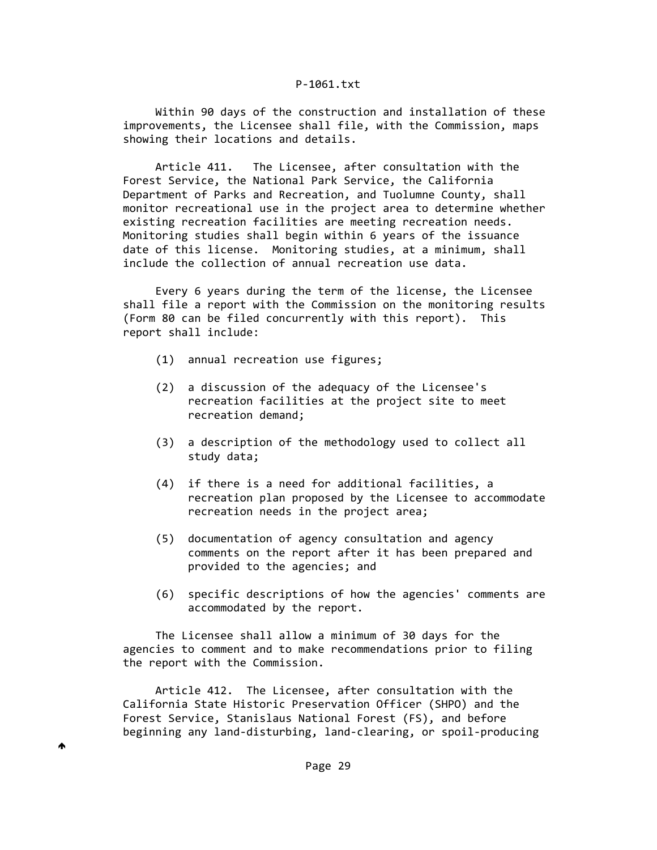Within 90 days of the construction and installation of these improvements, the Licensee shall file, with the Commission, maps showing their locations and details.

 Article 411. The Licensee, after consultation with the Forest Service, the National Park Service, the California Department of Parks and Recreation, and Tuolumne County, shall monitor recreational use in the project area to determine whether existing recreation facilities are meeting recreation needs. Monitoring studies shall begin within 6 years of the issuance date of this license. Monitoring studies, at a minimum, shall include the collection of annual recreation use data.

 Every 6 years during the term of the license, the Licensee shall file a report with the Commission on the monitoring results (Form 80 can be filed concurrently with this report). This report shall include:

- (1) annual recreation use figures;
- (2) a discussion of the adequacy of the Licensee's recreation facilities at the project site to meet recreation demand;
- (3) a description of the methodology used to collect all study data;
- (4) if there is a need for additional facilities, a recreation plan proposed by the Licensee to accommodate recreation needs in the project area;
- (5) documentation of agency consultation and agency comments on the report after it has been prepared and provided to the agencies; and
- (6) specific descriptions of how the agencies' comments are accommodated by the report.

 The Licensee shall allow a minimum of 30 days for the agencies to comment and to make recommendations prior to filing the report with the Commission.

 Article 412. The Licensee, after consultation with the California State Historic Preservation Officer (SHPO) and the Forest Service, Stanislaus National Forest (FS), and before beginning any land‐disturbing, land‐clearing, or spoil‐producing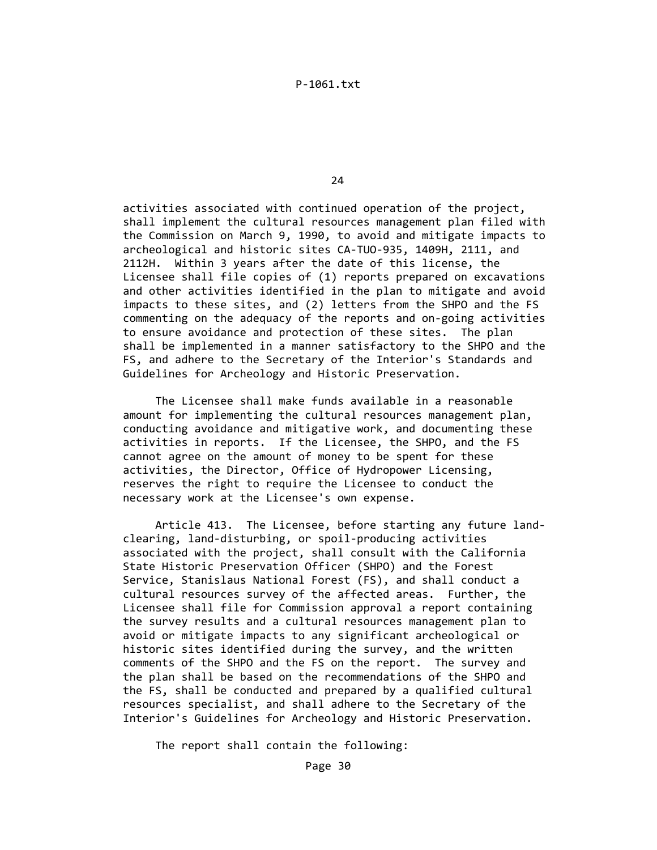<u>24 and 24</u>

 activities associated with continued operation of the project, shall implement the cultural resources management plan filed with the Commission on March 9, 1990, to avoid and mitigate impacts to archeological and historic sites CA‐TUO‐935, 1409H, 2111, and 2112H. Within 3 years after the date of this license, the Licensee shall file copies of (1) reports prepared on excavations and other activities identified in the plan to mitigate and avoid impacts to these sites, and (2) letters from the SHPO and the FS commenting on the adequacy of the reports and on‐going activities to ensure avoidance and protection of these sites. The plan shall be implemented in a manner satisfactory to the SHPO and the FS, and adhere to the Secretary of the Interior's Standards and Guidelines for Archeology and Historic Preservation.

 The Licensee shall make funds available in a reasonable amount for implementing the cultural resources management plan, conducting avoidance and mitigative work, and documenting these activities in reports. If the Licensee, the SHPO, and the FS cannot agree on the amount of money to be spent for these activities, the Director, Office of Hydropower Licensing, reserves the right to require the Licensee to conduct the necessary work at the Licensee's own expense.

 Article 413. The Licensee, before starting any future land‐ clearing, land‐disturbing, or spoil‐producing activities associated with the project, shall consult with the California State Historic Preservation Officer (SHPO) and the Forest Service, Stanislaus National Forest (FS), and shall conduct a cultural resources survey of the affected areas. Further, the Licensee shall file for Commission approval a report containing the survey results and a cultural resources management plan to avoid or mitigate impacts to any significant archeological or historic sites identified during the survey, and the written comments of the SHPO and the FS on the report. The survey and the plan shall be based on the recommendations of the SHPO and the FS, shall be conducted and prepared by a qualified cultural resources specialist, and shall adhere to the Secretary of the Interior's Guidelines for Archeology and Historic Preservation.

The report shall contain the following: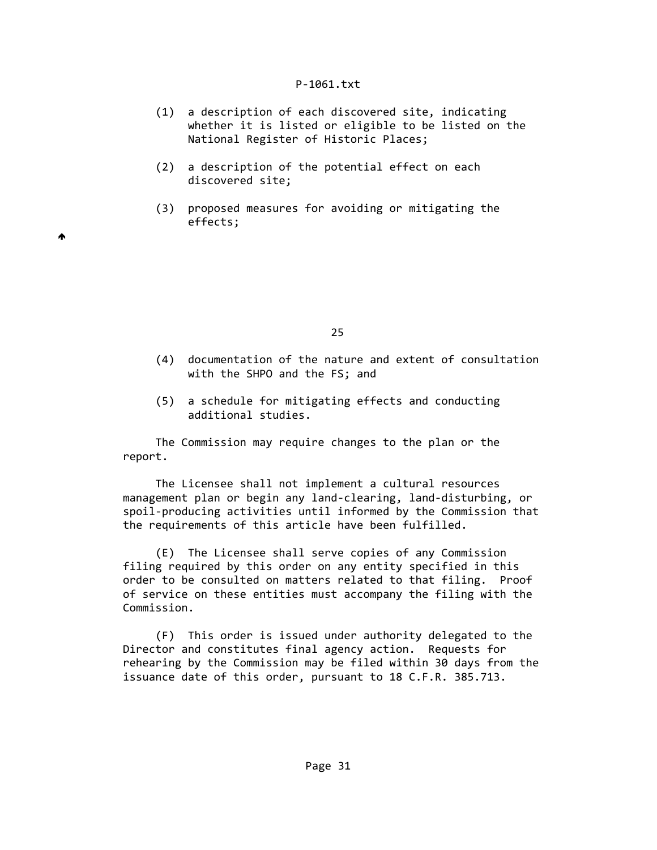- (1) a description of each discovered site, indicating whether it is listed or eligible to be listed on the National Register of Historic Places;
- (2) a description of the potential effect on each discovered site;

 $\blacktriangle$ 

 (3) proposed measures for avoiding or mitigating the effects;

<u>25 and 25</u>

- (4) documentation of the nature and extent of consultation with the SHPO and the FS; and
- (5) a schedule for mitigating effects and conducting additional studies.

 The Commission may require changes to the plan or the report.

 The Licensee shall not implement a cultural resources management plan or begin any land‐clearing, land‐disturbing, or spoil-producing activities until informed by the Commission that the requirements of this article have been fulfilled.

 (E) The Licensee shall serve copies of any Commission filing required by this order on any entity specified in this order to be consulted on matters related to that filing. Proof of service on these entities must accompany the filing with the Commission.

 (F) This order is issued under authority delegated to the Director and constitutes final agency action. Requests for rehearing by the Commission may be filed within 30 days from the issuance date of this order, pursuant to 18 C.F.R. 385.713.